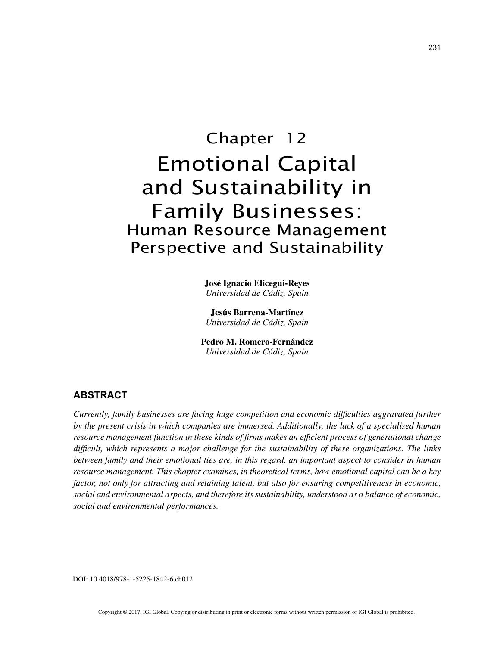# Chapter 12 Emotional Capital and Sustainability in Family Businesses: Human Resource Management Perspective and Sustainability

**José Ignacio Elicegui-Reyes** *Universidad de Cádiz, Spain*

**Jesús Barrena-Martínez** *Universidad de Cádiz, Spain*

**Pedro M. Romero-Fernández** *Universidad de Cádiz, Spain*

## **ABSTRACT**

*Currently, family businesses are facing huge competition and economic difficulties aggravated further by the present crisis in which companies are immersed. Additionally, the lack of a specialized human resource management function in these kinds of firms makes an efficient process of generational change difficult, which represents a major challenge for the sustainability of these organizations. The links between family and their emotional ties are, in this regard, an important aspect to consider in human resource management. This chapter examines, in theoretical terms, how emotional capital can be a key factor, not only for attracting and retaining talent, but also for ensuring competitiveness in economic, social and environmental aspects, and therefore its sustainability, understood as a balance of economic, social and environmental performances.*

DOI: 10.4018/978-1-5225-1842-6.ch012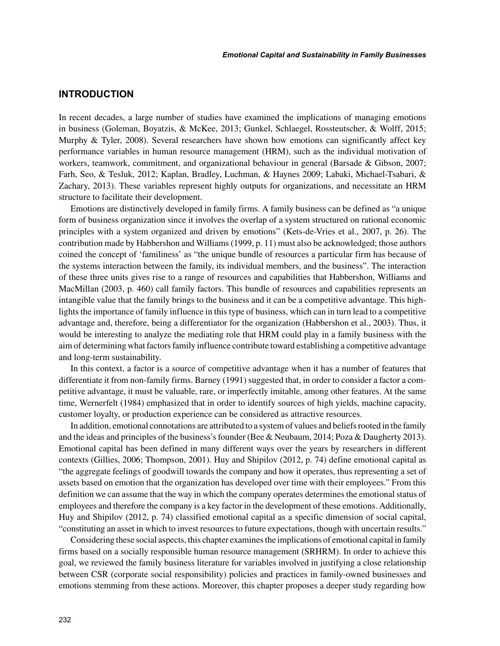## **INTRODUCTION**

In recent decades, a large number of studies have examined the implications of managing emotions in business (Goleman, Boyatzis, & McKee, 2013; Gunkel, Schlaegel, Rossteutscher, & Wolff, 2015; Murphy & Tyler, 2008). Several researchers have shown how emotions can significantly affect key performance variables in human resource management (HRM), such as the individual motivation of workers, teamwork, commitment, and organizational behaviour in general (Barsade & Gibson, 2007; Farh, Seo, & Tesluk, 2012; Kaplan, Bradley, Luchman, & Haynes 2009; Labaki, Michael-Tsabari, & Zachary, 2013). These variables represent highly outputs for organizations, and necessitate an HRM structure to facilitate their development.

Emotions are distinctively developed in family firms. A family business can be defined as "a unique form of business organization since it involves the overlap of a system structured on rational economic principles with a system organized and driven by emotions" (Kets-de-Vries et al., 2007, p. 26). The contribution made by Habbershon and Williams (1999, p. 11) must also be acknowledged; those authors coined the concept of 'familiness' as "the unique bundle of resources a particular firm has because of the systems interaction between the family, its individual members, and the business". The interaction of these three units gives rise to a range of resources and capabilities that Habbershon, Williams and MacMillan (2003, p. 460) call family factors. This bundle of resources and capabilities represents an intangible value that the family brings to the business and it can be a competitive advantage. This highlights the importance of family influence in this type of business, which can in turn lead to a competitive advantage and, therefore, being a differentiator for the organization (Habbershon et al., 2003). Thus, it would be interesting to analyze the mediating role that HRM could play in a family business with the aim of determining what factors family influence contribute toward establishing a competitive advantage and long-term sustainability.

In this context, a factor is a source of competitive advantage when it has a number of features that differentiate it from non-family firms. Barney (1991) suggested that, in order to consider a factor a competitive advantage, it must be valuable, rare, or imperfectly imitable, among other features. At the same time, Wernerfelt (1984) emphasized that in order to identify sources of high yields, machine capacity, customer loyalty, or production experience can be considered as attractive resources.

In addition, emotional connotations are attributed to a system of values and beliefs rooted in the family and the ideas and principles of the business's founder (Bee & Neubaum, 2014; Poza & Daugherty 2013). Emotional capital has been defined in many different ways over the years by researchers in different contexts (Gillies, 2006; Thompson, 2001). Huy and Shipilov (2012, p. 74) define emotional capital as "the aggregate feelings of goodwill towards the company and how it operates, thus representing a set of assets based on emotion that the organization has developed over time with their employees." From this definition we can assume that the way in which the company operates determines the emotional status of employees and therefore the company is a key factor in the development of these emotions. Additionally, Huy and Shipilov (2012, p. 74) classified emotional capital as a specific dimension of social capital, "constituting an asset in which to invest resources to future expectations, though with uncertain results."

Considering these social aspects, this chapter examines the implications of emotional capital in family firms based on a socially responsible human resource management (SRHRM). In order to achieve this goal, we reviewed the family business literature for variables involved in justifying a close relationship between CSR (corporate social responsibility) policies and practices in family-owned businesses and emotions stemming from these actions. Moreover, this chapter proposes a deeper study regarding how